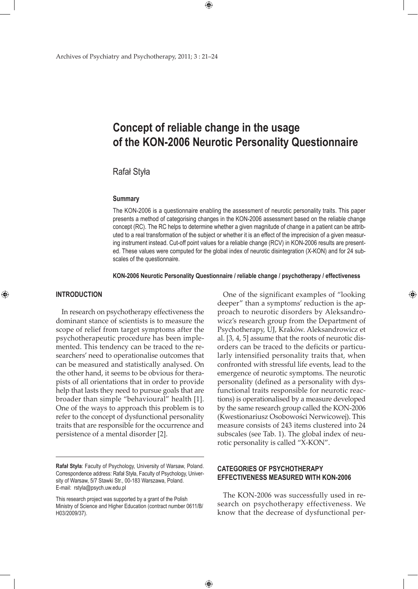# **Concept of reliable change in the usage of the KON-2006 Neurotic Personality Questionnaire**

 $\bigoplus$ 

# Rafał Styła

#### **summary**

The KON-2006 is a questionnaire enabling the assessment of neurotic personality traits. This paper presents a method of categorising changes in the KON-2006 assessment based on the reliable change concept (RC). The RC helps to determine whether a given magnitude of change in a patient can be attributed to a real transformation of the subject or whether it is an effect of the imprecision of a given measuring instrument instead. Cut-off point values for a reliable change (RCV) in KON-2006 results are presented. These values were computed for the global index of neurotic disintegration (X-KON) and for 24 subscales of the questionnaire.

#### **KON-2006 Neurotic Personality Questionnaire / reliable change / psychotherapy / effectiveness**

 $\bigoplus$ 

## **INTRODUCTION**

⊕

In research on psychotherapy effectiveness the dominant stance of scientists is to measure the scope of relief from target symptoms after the psychotherapeutic procedure has been implemented. This tendency can be traced to the researchers' need to operationalise outcomes that can be measured and statistically analysed. On the other hand, it seems to be obvious for therapists of all orientations that in order to provide help that lasts they need to pursue goals that are broader than simple "behavioural" health [1]. One of the ways to approach this problem is to refer to the concept of dysfunctional personality traits that are responsible for the occurrence and persistence of a mental disorder [2].

One of the significant examples of "looking deeper" than a symptoms' reduction is the approach to neurotic disorders by Aleksandrowicz's research group from the Department of Psychotherapy, UJ, Kraków. Aleksandrowicz et al. [3, 4, 5] assume that the roots of neurotic disorders can be traced to the deficits or particularly intensified personality traits that, when confronted with stressful life events, lead to the emergence of neurotic symptoms. The neurotic personality (defined as a personality with dysfunctional traits responsible for neurotic reactions) is operationalised by a measure developed by the same research group called the KON-2006 (Kwestionariusz Osobowości Nerwicowej). This measure consists of 243 items clustered into 24 subscales (see Tab. 1). The global index of neurotic personality is called "X-KON".

⊕

## **CATEGORIES OF PSYCHOTHERAPY EFFECTIVENESS MEASURED WITH KON-2006**

The KON-2006 was successfully used in research on psychotherapy effectiveness. We know that the decrease of dysfunctional per-

**Rafał Styła**: Faculty of Psychology, University of Warsaw, Poland. Correspondence address: Rafał Styła, Faculty of Psychology, University of Warsaw, 5/7 Stawki Str., 00-183 Warszawa, Poland. E-mail: rstyla@psych.uw.edu.pl

This research project was supported by a grant of the Polish Ministry of Science and Higher Education (contract number 0611/B/ H03/2009/37).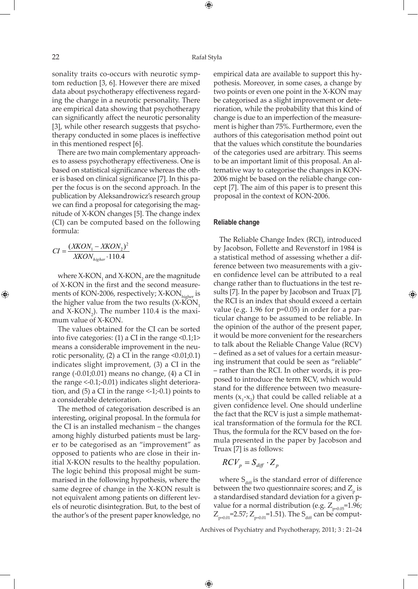⊕

sonality traits co-occurs with neurotic symptom reduction [3, 6]. However there are mixed data about psychotherapy effectiveness regarding the change in a neurotic personality. There are empirical data showing that psychotherapy can significantly affect the neurotic personality [3], while other research suggests that psychotherapy conducted in some places is ineffective in this mentioned respect [6].

There are two main complementary approaches to assess psychotherapy effectiveness. One is based on statistical significance whereas the other is based on clinical significance [7]. In this paper the focus is on the second approach. In the publication by Aleksandrowicz's research group we can find a proposal for categorising the magnitude of X-KON changes [5]. The change index (CI) can be computed based on the following formula:

$$
CI = \frac{(XKON_1 - XKON_2)^2}{XKON_{higher} \cdot 110.4}
$$

⊕

where  $X$ -KON<sub>1</sub> and  $X$ -KON<sub>2</sub> are the magnitude of X-KON in the first and the second measurements of KON-2006, respectively; X-KON<sub>higher</sub> is the higher value from the two results  $(X-KON)$ and X-KON<sub>2</sub>). The number 110.4 is the maximum value of X-KON.

The values obtained for the CI can be sorted into five categories: (1) a CI in the range  $\leq 0.1;1$  > means a considerable improvement in the neurotic personality,  $(2)$  a CI in the range  $\leq 0.01; 0.1)$ indicates slight improvement, (3) a CI in the range (-0.01;0.01) means no change, (4) a CI in the range  $\leq$ -0.1;-0.01) indicates slight deterioration, and  $(5)$  a CI in the range  $\leq$ -1;-0.1) points to a considerable deterioration.

The method of categorisation described is an interesting, original proposal. In the formula for the CI is an installed mechanism – the changes among highly disturbed patients must be larger to be categorised as an "improvement" as opposed to patients who are close in their initial X-KON results to the healthy population. The logic behind this proposal might be summarised in the following hypothesis, where the same degree of change in the X-KON result is not equivalent among patients on different levels of neurotic disintegration. But, to the best of the author's of the present paper knowledge, no

empirical data are available to support this hypothesis. Moreover, in some cases, a change by two points or even one point in the X-KON may be categorised as a slight improvement or deterioration, while the probability that this kind of change is due to an imperfection of the measurement is higher than 75%. Furthermore, even the authors of this categorisation method point out that the values which constitute the boundaries of the categories used are arbitrary. This seems to be an important limit of this proposal. An alternative way to categorise the changes in KON-2006 might be based on the reliable change concept [7]. The aim of this paper is to present this proposal in the context of KON-2006.

#### **Reliable change**

The Reliable Change Index (RCI), introduced by Jacobson, Follette and Revenstorf in 1984 is a statistical method of assessing whether a difference between two measurements with a given confidence level can be attributed to a real change rather than to fluctuations in the test results [7]. In the paper by Jacobson and Truax [7], the RCI is an index that should exceed a certain value (e.g. 1.96 for p=0.05) in order for a particular change to be assumed to be reliable. In the opinion of the author of the present paper, it would be more convenient for the researchers to talk about the Reliable Change Value (RCV) – defined as a set of values for a certain measuring instrument that could be seen as "reliable" – rather than the RCI. In other words, it is proposed to introduce the term RCV, which would stand for the difference between two measurements  $(x_1-x_2)$  that could be called reliable at a given confidence level. One should underline the fact that the RCV is just a simple mathematical transformation of the formula for the RCI. Thus, the formula for the RCV based on the formula presented in the paper by Jacobson and Truax [7] is as follows:

⊕

$$
RCV_p = S_{\text{diff}} \cdot Z_p
$$

 $\bigoplus$ 

where  $S_{diff}$  is the standard error of difference between the two questionnaire scores; and  $Z_{\rm p}$  is a standardised standard deviation for a given pvalue for a normal distribution (e.g.  $Z_{p=0.05}$ =1.96;  $Z_{p=0.01}$ =2.57;  $Z_{p=0.01}$ =1.51). The S<sub>diff</sub> can be comput-

Archives of Psychiatry and Psychotherapy, 2011; 3 : 21–24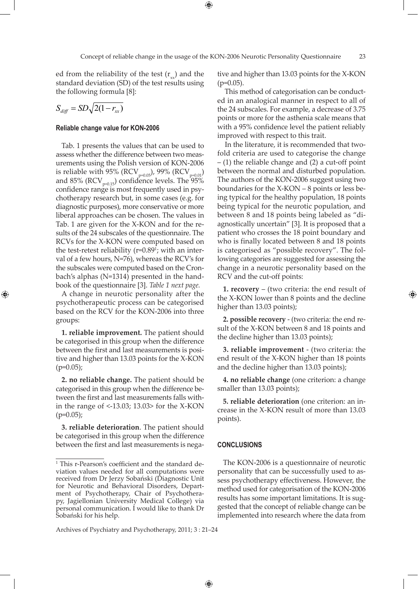⊕

ed from the reliability of the test  $(r_{\rm xy})$  and the standard deviation (SD) of the test results using the following formula [8]:

$$
S_{\text{diff}} = SD\sqrt{2(1 - r_{xx})}
$$

⊕

#### **Reliable change value for KON-2006**

Tab. 1 presents the values that can be used to assess whether the difference between two measurements using the Polish version of KON-2006 is reliable with 95% (RCV<sub>p=0.05</sub>), 99% (RCV<sub>p=0.01</sub>) and  $85\%$  (RCV<sub>p=0.15</sub>) confidence levels. The  $95\%$ confidence range is most frequently used in psychotherapy research but, in some cases (e.g. for diagnostic purposes), more conservative or more liberal approaches can be chosen. The values in Tab. 1 are given for the X-KON and for the results of the 24 subscales of the questionnaire. The RCVs for the X-KON were computed based on the test-retest reliability (r=0.89<sup>1</sup>; with an interval of a few hours, N=76), whereas the RCV's for the subscales were computed based on the Cronbach's alphas (N=1314) presented in the handbook of the questionnaire [3]. *Table 1 next page.*

A change in neurotic personality after the psychotherapeutic process can be categorised based on the RCV for the KON-2006 into three groups:

**1. reliable improvement.** The patient should be categorised in this group when the difference between the first and last measurements is positive and higher than 13.03 points for the X-KON  $(p=0.05);$ 

**2. no reliable change.** The patient should be categorised in this group when the difference between the first and last measurements falls within the range of <-13.03; 13.03> for the X-KON  $(p=0.05);$ 

**3. reliable deterioration**. The patient should be categorised in this group when the difference between the first and last measurements is negative and higher than 13.03 points for the X-KON  $(p=0.05)$ .

 This method of categorisation can be conducted in an analogical manner in respect to all of the 24 subscales. For example, a decrease of 3.75 points or more for the asthenia scale means that with a 95% confidence level the patient reliably improved with respect to this trait.

 In the literature, it is recommended that twofold criteria are used to categorise the change – (1) the reliable change and (2) a cut-off point between the normal and disturbed population. The authors of the KON-2006 suggest using two boundaries for the X-KON – 8 points or less being typical for the healthy population, 18 points being typical for the neurotic population, and between 8 and 18 points being labeled as "diagnostically uncertain" [3]. It is proposed that a patient who crosses the 18 point boundary and who is finally located between 8 and 18 points is categorised as "possible recovery". The following categories are suggested for assessing the change in a neurotic personality based on the RCV and the cut-off points:

**1. recovery** – (two criteria: the end result of the X-KON lower than 8 points and the decline higher than 13.03 points);

**2. possible recovery** - (two criteria: the end result of the X-KON between 8 and 18 points and the decline higher than 13.03 points);

**3. reliable improvement** - (two criteria: the end result of the X-KON higher than 18 points and the decline higher than 13.03 points);

**4. no reliable change** (one criterion: a change smaller than 13.03 points);

**5. reliable deterioration** (one criterion: an increase in the X-KON result of more than 13.03 points).

#### **CONCLUSIONS**

 $\bigoplus$ 

The KON-2006 is a questionnaire of neurotic personality that can be successfully used to assess psychotherapy effectiveness. However, the method used for categorisation of the KON-2006 results has some important limitations. It is suggested that the concept of reliable change can be implemented into research where the data from

<sup>&</sup>lt;sup>1</sup> This r-Pearson's coefficient and the standard deviation values needed for all computations were received from Dr Jerzy Sobański (Diagnostic Unit for Neurotic and Behavioral Disorders, Department of Psychotherapy, Chair of Psychotherapy, Jagiellonian University Medical College) via personal communication. I would like to thank Dr Sobański for his help.

Archives of Psychiatry and Psychotherapy, 2011; 3 : 21–24